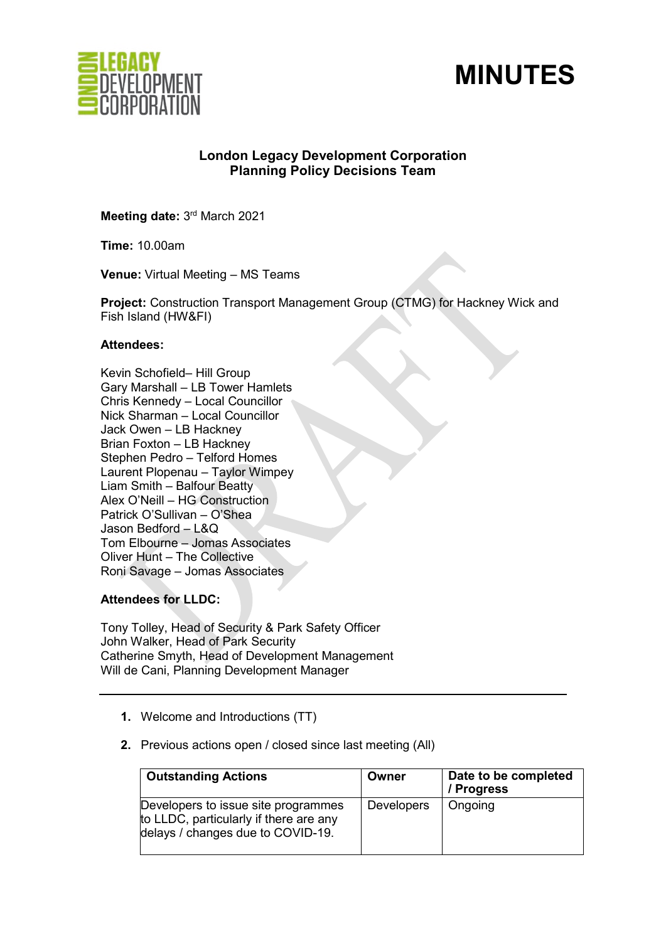



# **London Legacy Development Corporation Planning Policy Decisions Team**

**Meeting date:** 3rd March 2021

**Time:** 10.00am

**Venue:** Virtual Meeting – MS Teams

**Project:** Construction Transport Management Group (CTMG) for Hackney Wick and Fish Island (HW&FI)

#### **Attendees:**

Kevin Schofield– Hill Group Gary Marshall – LB Tower Hamlets Chris Kennedy – Local Councillor Nick Sharman – Local Councillor Jack Owen – LB Hackney Brian Foxton – LB Hackney Stephen Pedro – Telford Homes Laurent Plopenau – Taylor Wimpey Liam Smith – Balfour Beatty Alex O'Neill – HG Construction Patrick O'Sullivan – O'Shea Jason Bedford – L&Q Tom Elbourne – Jomas Associates Oliver Hunt – The Collective Roni Savage – Jomas Associates

**Attendees for LLDC:** 

Tony Tolley, Head of Security & Park Safety Officer John Walker, Head of Park Security Catherine Smyth, Head of Development Management Will de Cani, Planning Development Manager

- **1.** Welcome and Introductions (TT)
- **2.** Previous actions open / closed since last meeting (All)

| <b>Outstanding Actions</b>                                                                                         | Owner             | Date to be completed<br>/ Progress |
|--------------------------------------------------------------------------------------------------------------------|-------------------|------------------------------------|
| Developers to issue site programmes<br>to LLDC, particularly if there are any<br>delays / changes due to COVID-19. | <b>Developers</b> | Ongoing                            |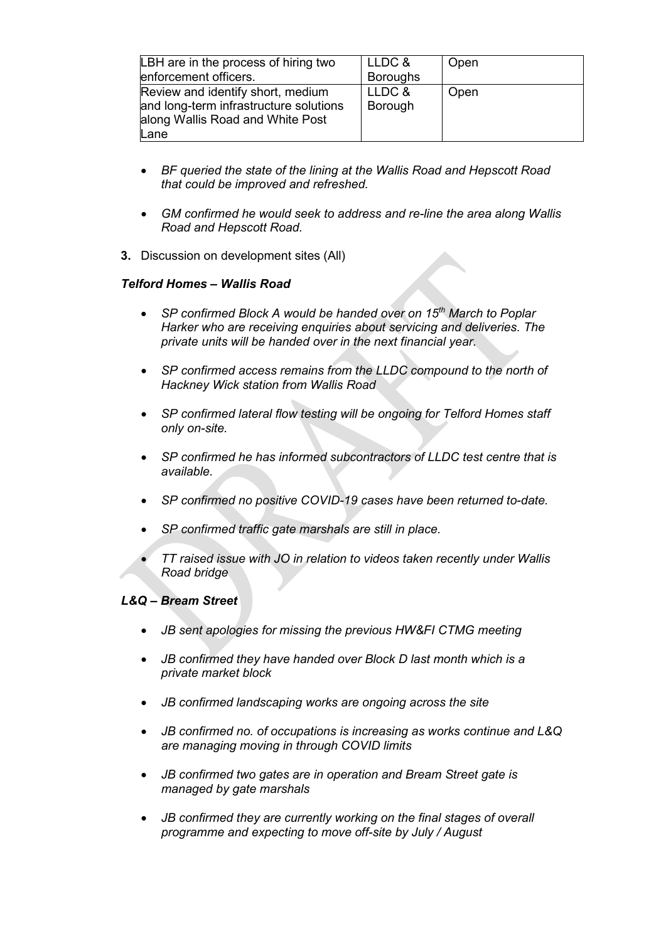| LBH are in the process of hiring two<br>enforcement officers.                                                           | LLDC &<br><b>Boroughs</b> | Open |
|-------------------------------------------------------------------------------------------------------------------------|---------------------------|------|
| Review and identify short, medium<br>and long-term infrastructure solutions<br>along Wallis Road and White Post<br>Lane | LLDC &<br>Borough         | Open |

- *BF queried the state of the lining at the Wallis Road and Hepscott Road that could be improved and refreshed.*
- *GM confirmed he would seek to address and re-line the area along Wallis Road and Hepscott Road.*
- **3.** Discussion on development sites (All)

# *Telford Homes – Wallis Road*

- *SP confirmed Block A would be handed over on 15th March to Poplar Harker who are receiving enquiries about servicing and deliveries. The private units will be handed over in the next financial year.*
- *SP confirmed access remains from the LLDC compound to the north of Hackney Wick station from Wallis Road*
- *SP confirmed lateral flow testing will be ongoing for Telford Homes staff only on-site.*
- *SP confirmed he has informed subcontractors of LLDC test centre that is available.*
- *SP confirmed no positive COVID-19 cases have been returned to-date.*
- *SP confirmed traffic gate marshals are still in place.*
- *TT raised issue with JO in relation to videos taken recently under Wallis Road bridge*

# *L&Q – Bream Street*

- *JB sent apologies for missing the previous HW&FI CTMG meeting*
- *JB confirmed they have handed over Block D last month which is a private market block*
- *JB confirmed landscaping works are ongoing across the site*
- *JB confirmed no. of occupations is increasing as works continue and L&Q are managing moving in through COVID limits*
- *JB confirmed two gates are in operation and Bream Street gate is managed by gate marshals*
- *JB confirmed they are currently working on the final stages of overall programme and expecting to move off-site by July / August*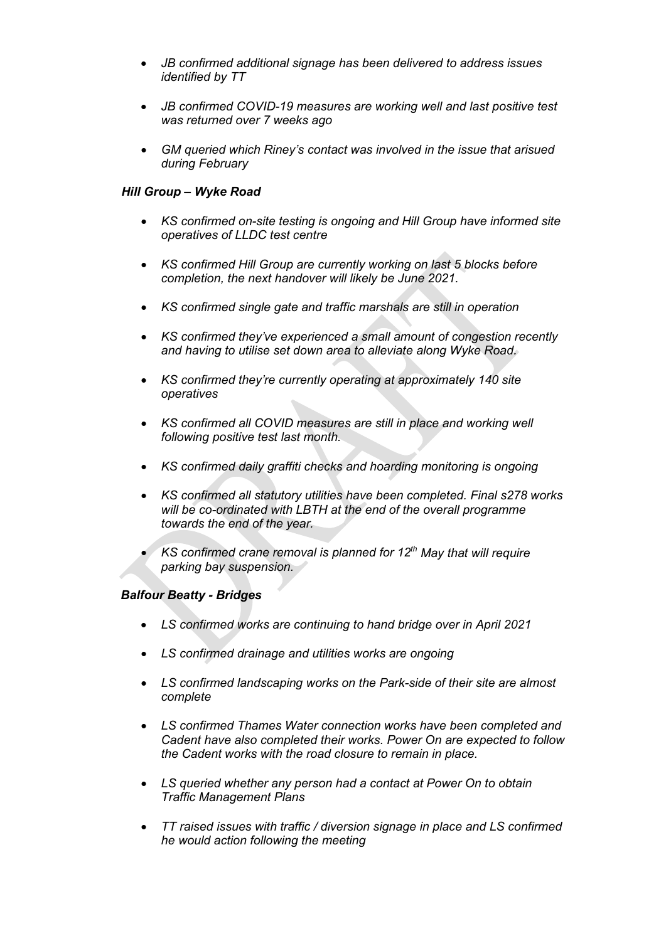- *JB confirmed additional signage has been delivered to address issues identified by TT*
- *JB confirmed COVID-19 measures are working well and last positive test was returned over 7 weeks ago*
- *GM queried which Riney's contact was involved in the issue that arisued during February*

# *Hill Group – Wyke Road*

- *KS confirmed on-site testing is ongoing and Hill Group have informed site operatives of LLDC test centre*
- *KS confirmed Hill Group are currently working on last 5 blocks before completion, the next handover will likely be June 2021.*
- *KS confirmed single gate and traffic marshals are still in operation*
- *KS confirmed they've experienced a small amount of congestion recently and having to utilise set down area to alleviate along Wyke Road.*
- *KS confirmed they're currently operating at approximately 140 site operatives*
- *KS confirmed all COVID measures are still in place and working well following positive test last month.*
- *KS confirmed daily graffiti checks and hoarding monitoring is ongoing*
- *KS confirmed all statutory utilities have been completed. Final s278 works will be co-ordinated with LBTH at the end of the overall programme towards the end of the year.*
- *KS confirmed crane removal is planned for 12th May that will require parking bay suspension.*

#### *Balfour Beatty - Bridges*

- *LS confirmed works are continuing to hand bridge over in April 2021*
- *LS confirmed drainage and utilities works are ongoing*
- *LS confirmed landscaping works on the Park-side of their site are almost complete*
- *LS confirmed Thames Water connection works have been completed and Cadent have also completed their works. Power On are expected to follow the Cadent works with the road closure to remain in place.*
- *LS queried whether any person had a contact at Power On to obtain Traffic Management Plans*
- *TT raised issues with traffic / diversion signage in place and LS confirmed he would action following the meeting*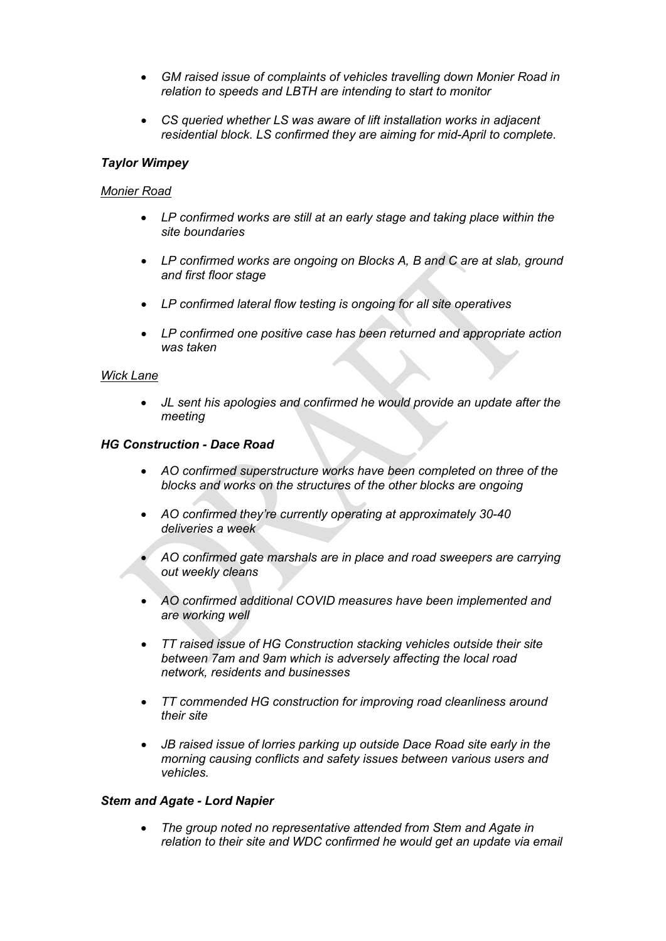- *GM raised issue of complaints of vehicles travelling down Monier Road in relation to speeds and LBTH are intending to start to monitor*
- *CS queried whether LS was aware of lift installation works in adjacent residential block. LS confirmed they are aiming for mid-April to complete.*

# *Taylor Wimpey*

#### *Monier Road*

- *LP confirmed works are still at an early stage and taking place within the site boundaries*
- *LP confirmed works are ongoing on Blocks A, B and C are at slab, ground and first floor stage*
- *LP confirmed lateral flow testing is ongoing for all site operatives*
- *LP confirmed one positive case has been returned and appropriate action was taken*

#### *Wick Lane*

• *JL sent his apologies and confirmed he would provide an update after the meeting* 

#### *HG Construction - Dace Road*

- *AO confirmed superstructure works have been completed on three of the blocks and works on the structures of the other blocks are ongoing*
- *AO confirmed they're currently operating at approximately 30-40 deliveries a week*
- *AO confirmed gate marshals are in place and road sweepers are carrying out weekly cleans*
- *AO confirmed additional COVID measures have been implemented and are working well*
- *TT raised issue of HG Construction stacking vehicles outside their site between 7am and 9am which is adversely affecting the local road network, residents and businesses*
- *TT commended HG construction for improving road cleanliness around their site*
- *JB raised issue of lorries parking up outside Dace Road site early in the morning causing conflicts and safety issues between various users and vehicles.*

#### *Stem and Agate - Lord Napier*

• *The group noted no representative attended from Stem and Agate in relation to their site and WDC confirmed he would get an update via email*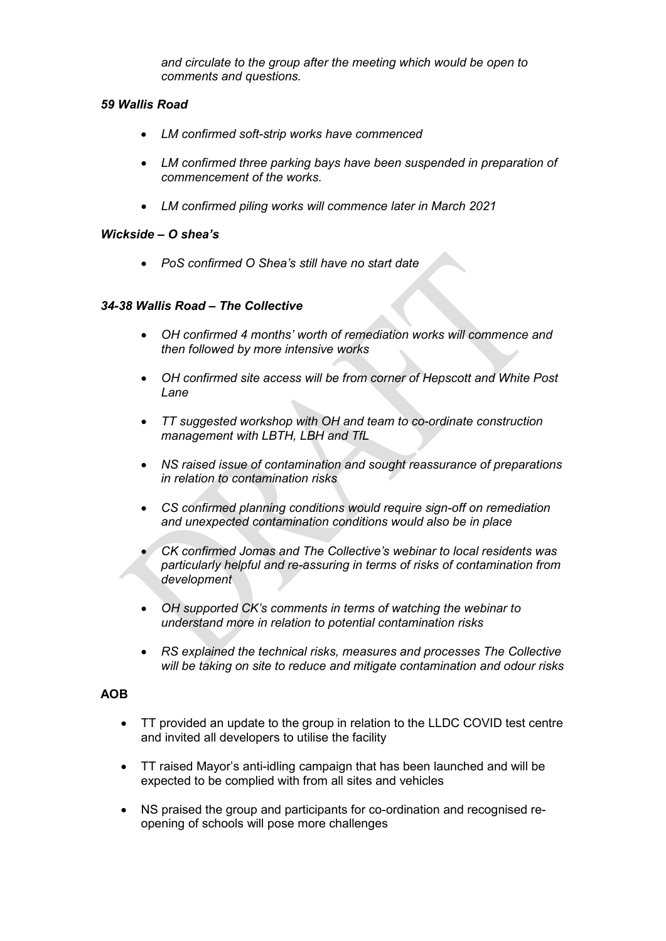*and circulate to the group after the meeting which would be open to comments and questions.*

# *59 Wallis Road*

- *LM confirmed soft-strip works have commenced*
- *LM confirmed three parking bays have been suspended in preparation of commencement of the works.*
- *LM confirmed piling works will commence later in March 2021*

# *Wickside – O shea's*

• *PoS confirmed O Shea's still have no start date* 

# *34-38 Wallis Road – The Collective*

- *OH confirmed 4 months' worth of remediation works will commence and then followed by more intensive works*
- *OH confirmed site access will be from corner of Hepscott and White Post Lane*
- *TT suggested workshop with OH and team to co-ordinate construction management with LBTH, LBH and TfL*
- *NS raised issue of contamination and sought reassurance of preparations in relation to contamination risks*
- *CS confirmed planning conditions would require sign-off on remediation and unexpected contamination conditions would also be in place*
- *CK confirmed Jomas and The Collective's webinar to local residents was particularly helpful and re-assuring in terms of risks of contamination from development*
- *OH supported CK's comments in terms of watching the webinar to understand more in relation to potential contamination risks*
- *RS explained the technical risks, measures and processes The Collective will be taking on site to reduce and mitigate contamination and odour risks*

# **AOB**

- TT provided an update to the group in relation to the LLDC COVID test centre and invited all developers to utilise the facility
- TT raised Mayor's anti-idling campaign that has been launched and will be expected to be complied with from all sites and vehicles
- NS praised the group and participants for co-ordination and recognised reopening of schools will pose more challenges